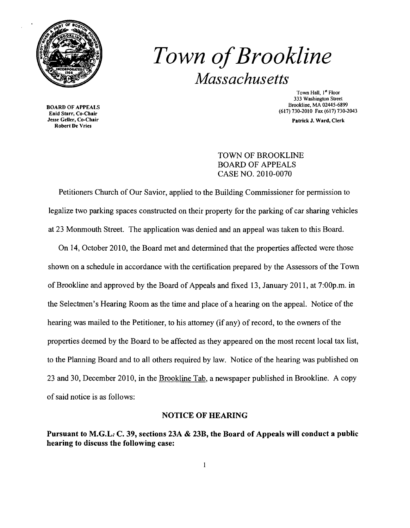

## **Town of Brookline** *Massachusetts*

BOARD OF APPEALS<br>
Enid Starr, Co-Chair<br>
Jesse Geller, Co-Chair<br>
The Corce of the Corce of the Corce of the Corce of the Corce of the Corce of the Corce of the Corce of the Corce of the Corce of the Corce of the Corce of th Robert De Vries

Town Hall, 1<sup>st</sup> Floor 333 Washington Street BOARD OF APPEALS<br>
BOARD OF APPEALS (213) 730 2010 Free (213) 730 2010

Patrick J. Ward, Clerk

## TOWN OF BROOKLINE BOARD OF APPEALS CASE NO. 2010-0070

Petitioners Church of Our Savior, applied to the Building Commissioner for permission to legalize two parking spaces constructed on their property for the parking of car sharing vehicles at 23 Monmouth Street. The application was denied and an appeal was taken to this Board.

On 14, October 2010, the Board met and determined that the properties affected were those shown on a schedule in accordance with the certification prepared by the Assessors of the Town of Brookline and approved by the Board of Appeals and fixed 13, January 2011, at 7:00p.m. in the Selectmen's Hearing Room as the time and place ofa hearing on the appeal. Notice of the hearing was mailed to the Petitioner, to his attorney (if any) of record, to the owners of the properties deemed by the Board to be affected as they appeared on the most recent local tax list, to the Planning Board and to all others required by law. Notice of the hearing was published on 23 and 30, December 2010, in the Brookline Tab, a newspaper published in Brookline. A copy of said notice is as follows:

## NOTICE OF HEARING

Pursuant to M.G.L: C. 39, sections 23A & 23B, the Board of Appeals will conduct a public hearing to discuss the following case: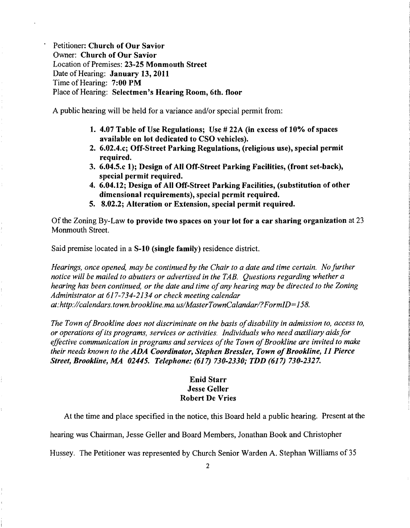Petitioner: Church of Our Savior Owner: Church of Our Savior Location of Premises: 23-25 Monmouth Street Date of Hearing: January 13, 2011 Time of Hearing: 7:00 PM Place of Hearing: Selectmen's Hearing Room, 6th. floor

A public hearing will be held for a variance and/or special permit from:

- 1. 4.07 Table of Use Regulations; Use # 22A (in excess of 10% of spaces available on lot dedicated to CSO vehicles).
- 2. 6.02.4.c; Off-Street Parking Regulations, (religious use), special permit required.
- 3. 6.04.5.c 1); Design of All Off-Street Parking Facilities, (front set-back), special permit required.
- 4. 6.04.12; Design of All Off-Street Parking Facilities, (substitution of other dimensional requirements), special permit required.
- 5. 8.02.2; Alteration or Extension, special permit required.

Of the Zoning By-Law to provide two spaces on your lot for a car sharing organization at 23 Monmouth Street.

Said premise located in a S-1O (single family) residence district.

*Hearings, once opened, may be continued by the Chair to a date and time certain. No further notice will be mailed to abutters or advertised in the TAB. Questions regarding whether a hearing has been continued, or the date and time ofany hearing may be directed to the Zoning Administrator at* 617-734-2134 *or check meeting calendar at:http://calendars.town.brookline.ma.usIMasterTownCalandarl?FormID=158.* 

The Town of Brookline does not discriminate on the basis of disability in admission to, access to, *or operations ofits programs, services or activities. Individuals who need auxiliary aidsfor*  effective communication in programs and services of the Town of Brookline are invited to make *their needs known to the ADA Coordinator, Stephen Bressler, Town of Brookline, 11 Pierce Street, Brookline, MA 02445. Telephone:* (617) *730-2330; TDD* (617) *730-2327.* 

## Enid Starr Jesse Geller Robert De Vries

At the time and place specified in the notice, this Board held a public hearing. Present at the

hearing was Chairman, Jesse Geller and Board Members, Jonathan Book and Christopher

Hussey. The Petitioner was represented by Church Senior Warden A. Stephan Williams of 35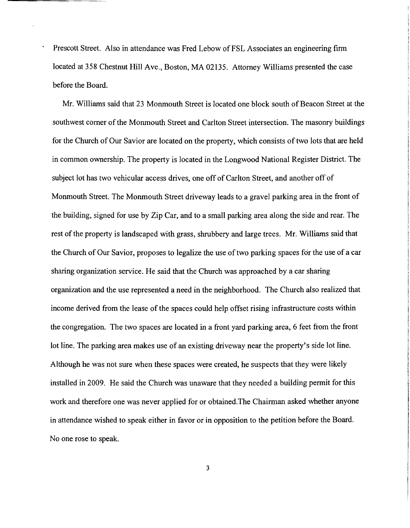Prescott Street. Also in attendance was Fred Lebow of FSL Associates an engineering firm located at 358 Chestnut Hill Ave., Boston, MA 02135. Attorney Williams presented the case before the Board.

Mr. Williams said that 23 Monmouth Street is located one block south of Beacon Street at the southwest corner of the Monmouth Street and Carlton Street intersection. The masonry buildings for the Church of Our Savior are located on the property, which consists of two lots that are held in common ownership. The property is located in the Longwood National Register District. The subject lot has two vehicular access drives, one off of Carlton Street, and another off of Monmouth Street. The Monmouth Street driveway leads to a gravel parking area in the front of the building, signed for use by Zip Car, and to a small parking area along the side and rear. The rest of the property is landscaped with grass, shrubbery and large trees. Mr. Williams said that the Church of Our Savior, proposes to legalize the use of two parking spaces for the use of a car sharing organization service. He said that the Church was approached by a car sharing organization and the use represented a need in the neighborhood. The Church also realized that income derived from the lease of the spaces could help offset rising infrastructure costs within the congregation. The two spaces are located in a front yard parking area, 6 feet from the front lot line. The parking area makes use of an existing driveway near the property's side lot line. Although he was not sure when these spaces were created, he suspects that they were likely installed in 2009. He said the Church was unaware that they needed a building permit for this work and therefore one was never applied for or obtained.The Chairman asked whether anyone in attendance wished to speak either in favor or in opposition to the petition before the Board. No one rose to speak.

3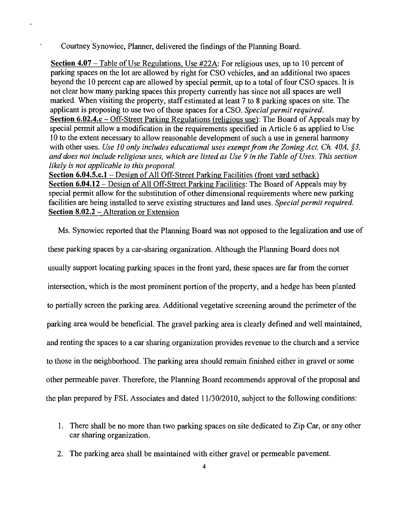Courtney Synowiec, Planner, delivered the findings of the Planning Board.

Section 4.07 – Table of Use Regulations, Use #22A: For religious uses, up to 10 percent of parking spaces on the lot are allowed by right for CSO vehicles, and an additional two spaces beyond the 10 percent cap are allowed by special permit, up to a total of four CSO spaces. It is not clear how many parking spaces this property currently has since not all spaces are well marked. When visiting the property, staff estimated at least 7 to 8 parking spaces on site. The applicant is proposing to use two of those spaces for a CSO. *Special permit required.*  Section 6.02.4.c - Off-Street Parking Regulations (religious use): The Board of Appeals may by special permit allow a modification in the requirements specified in Article 6 as applied to Use 10 to the extent necessary to allow reasonable development of such a use in general harmony with other uses. *Use 10 only includes educational uses exempt from the Zoning Act, Ch. 40A, §3, and does not include religious uses, which are listed as Use* 9 *in the Table ofUses. This section likely is not applicable to this proposal.* 

Section 6.04.5.c.1 - Design of All Off-Street Parking Facilities (front yard setback) Section 6.04.12 - Design of All Off-Street Parking Facilities: The Board of Appeals may by special permit allow for the substitution of other dimensional requirements where new parking facilities are being installed to serve existing structures and land uses. *Special permit required.* Section 8.02.2 - Alteration or Extension

Ms. Synowiec reported that the Planning Board was not opposed to the legalization and use of

these parking spaces by a car-sharing organization. Although the Planning Board does not usually support locating parking spaces in the front yard, these spaces are far from the comer intersection, which is the most prominent portion of the property, and a hedge has been planted to partially screen the parking area. Additional vegetative screening around the perimeter of the parking area would be beneficial. The gravel parking area is clearly defined and well maintained, and renting the spaces to a car sharing organization provides revenue to the church and a service to those in the neighborhood. The parking area should remain finished either in gravel or some other permeable paver. Therefore, the Planning Board recommends approval of the proposal and the plan prepared by FSL Associates and dated 11/30/2010, subject to the following conditions:

- 1. There shall be no more than two parking spaces on site dedicated to Zip Car, or any other car sharing organization.
- 2. The parking area shall be maintained with either gravel or permeable pavement.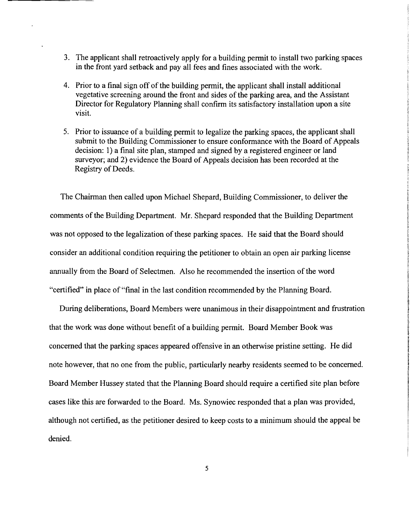- 3. The applicant shall retroactively apply for a building permit to install two parking spaces in the front yard setback and pay all fees and fines associated with the work.
- 4. Prior to a final sign off of the building permit, the applicant shall install additional vegetative screening around the front and sides of the parking area, and the Assistant Director for Regulatory Planning shall confirm its satisfactory installation upon a site visit.
- 5. Prior to issuance of a building permit to legalize the parking spaces, the applicant shall submit to the Building Commissioner to ensure conformance with the Board of Appeals decision: 1) a final site plan, stamped and signed by a registered engineer or land surveyor; and 2) evidence the Board of Appeals decision has been recorded at the Registry of Deeds.

The Chairman then called upon Michael Shepard, Building Commissioner, to deliver the comments of the Building Department. Mr. Shepard responded that the Building Department was not opposed to the legalization of these parking spaces. He said that the Board should consider an additional condition requiring the petitioner to obtain an open air parking license annually from the Board of Selectmen. Also he recommended the insertion of the word "certified" in place of "final in the last condition recommended by the Planning Board.

During deliberations, Board Members were unanimous in their disappointment and frustration that the work was done without benefit of a building permit. Board Member Book was concerned that the parking spaces appeared offensive in an otherwise pristine setting. He did note however, that no one from the public, particularly nearby residents seemed to be concerned. Board Member Hussey stated that the Planning Board should require a certified site plan before cases like this are forwarded to the Board. Ms. Synowiec responded that a plan was provided, although not certified, as the petitioner desired to keep costs to a minimum should the appeal be denied.

5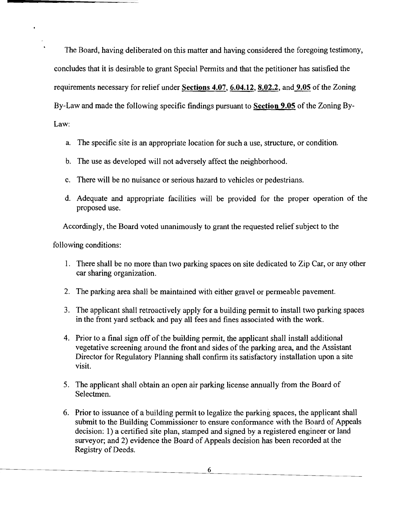The Board, having deliberated on this matter and having considered the foregoing testimony, concludes that it is desirable to grant Special Permits and that the petitioner has satisfied the requirements necessary for relief under Sections 4.07, 6.04.12, 8.02.2, and 9.05 of the Zoning By-Law and made the following specific findings pursuant to Section 9.05 of the Zoning By-Law:

- a. The specific site is an appropriate location for such a use, structure, or condition.
- b. The use as developed will not adversely affect the neighborhood.
- c. There will be no nuisance or serious hazard to vehicles or pedestrians.
- d. Adequate and appropriate facilities will be provided for the proper operation of the proposed use.

Accordingly, the Board voted unanimously to grant the requested relief subject to the

following conditions:

- 1. There shall be no more than two parking spaces on site dedicated to Zip Car, or any other car sharing organization.
- 2. The parking area shall be maintained with either gravel or permeable pavement.
- 3. The applicant shall retroactively apply for a building permit to install two parking spaces in the front yard setback and pay all fees and fines associated with the work.
- 4. Prior to a final sign off of the building permit, the applicant shall install additional vegetative screening around the front and sides of the parking area, and the Assistant Director for Regulatory Planning shall confirm its satisfactory installation upon a site visit.
- 5. The applicant shall obtain an open air parking license annually from the Board of Selectmen.
- 6. Prior to issuance of a building permit to legalize the parking spaces, the applicant shall submit to the Building Commissioner to ensure conformance with the Board of Appeals decision: 1) a certified site plan, stamped and signed by a registered engineer or land surveyor; and 2) evidence the Board of Appeals decision has been recorded at the Registry of Deeds.